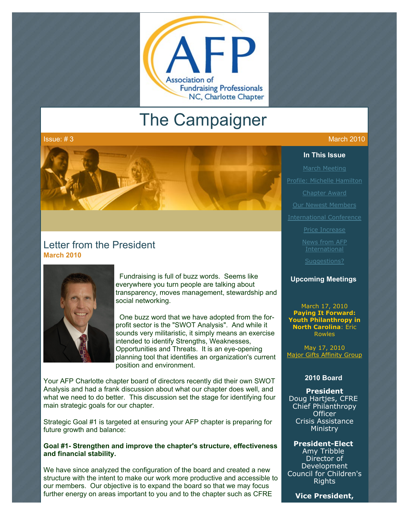

# The Campaigner

#### Issue: # 3  $\,$  March 2010  $\,$  March 2010  $\,$  March 2010  $\,$

#### **In This Issue**

[March Meeting](http://archive.constantcontact.com/fs051/1101610725496/archive/1103039179929.html#LETTER.BLOCK8)

[Profile: Michelle Hamilton](http://archive.constantcontact.com/fs051/1101610725496/archive/1103039179929.html#LETTER.BLOCK10)

[Chapter Award](http://archive.constantcontact.com/fs051/1101610725496/archive/1103039179929.html#LETTER.BLOCK12)

[Our Newest Members](http://archive.constantcontact.com/fs051/1101610725496/archive/1103039179929.html#LETTER.BLOCK19)

[International Conference](http://archive.constantcontact.com/fs051/1101610725496/archive/1103039179929.html#LETTER.BLOCK13)

**International** 

[Suggestions?](http://archive.constantcontact.com/fs051/1101610725496/archive/1103039179929.html#LETTER.BLOCK16)

#### **Upcoming Meetings**

[March 17, 2010](http://www.afp-charlotte.org/rsvp_details.html?id=2660) **Paying It Forward: Youth Philanthropy in North Carolina**: Eric Rowles

May 17, 2010 [Major Gifts Affinity Group](http://www.afp-charlotte.org/rsvp_details.html?id=2771)

#### **2010 Board**

**President** Doug Hartjes, CFRE Chief Philanthropy **Officer** Crisis Assistance Ministry

#### **President-Elect**

Amy Tribble Director of **Development** Council for Children's Rights

**Vice President,**



## Letter from the President **March 2010**



 Fundraising is full of buzz words. Seems like everywhere you turn people are talking about transparency, moves management, stewardship and social networking.

 One buzz word that we have adopted from the forprofit sector is the "SWOT Analysis". And while it sounds very militaristic, it simply means an exercise intended to identify Strengths, Weaknesses, Opportunities and Threats. It is an eye-opening planning tool that identifies an organization's current position and environment.

Your AFP Charlotte chapter board of directors recently did their own SWOT Analysis and had a frank discussion about what our chapter does well, and what we need to do better. This discussion set the stage for identifying four main strategic goals for our chapter.

Strategic Goal #1 is targeted at ensuring your AFP chapter is preparing for future growth and balance:

#### **Goal #1- Strengthen and improve the chapter's structure, effectiveness and financial stability.**

We have since analyzed the configuration of the board and created a new structure with the intent to make our work more productive and accessible to our members. Our objective is to expand the board so that we may focus further energy on areas important to you and to the chapter such as CFRE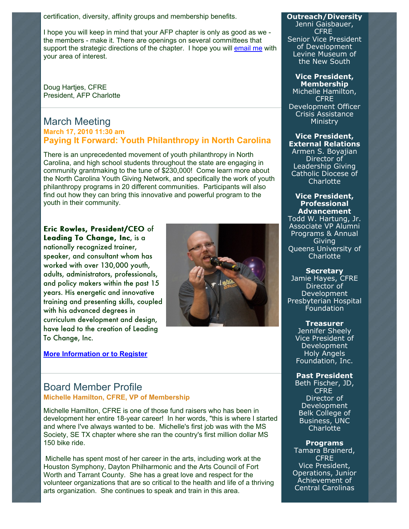certification, diversity, affinity groups and membership benefits.

I hope you will keep in mind that your AFP chapter is only as good as we the members - make it. There are openings on several committees that support the strategic directions of the chapter. I hope you will [email me](mailto:dhartjes@crisisassistance.org) with your area of interest.

Doug Hartjes, CFRE President, AFP Charlotte

## March Meeting **March 17, 2010 11:30 am Paying It Forward: Youth Philanthropy in North Carolina**

There is an unprecedented movement of youth philanthropy in North Carolina, and high school students throughout the state are engaging in community grantmaking to the tune of \$230,000! Come learn more about the North Carolina Youth Giving Network, and specifically the work of youth philanthropy programs in 20 different communities. Participants will also find out how they can bring this innovative and powerful program to the youth in their community.

## Eric Rowles, President/CEO of Leading To Change, Inc, is a nationally recognized trainer, speaker, and consultant whom has worked with over 130,000 youth, adults, administrators, professionals, and policy makers within the past 15 years. His energetic and innovative training and presenting skills, coupled with his advanced degrees in curriculum development and design, have lead to the creation of Leading To Change, Inc.

**[More Information or to Register](http://www.afp-charlotte.org/rsvp_details.html?id=2660)**



## Board Member Profile **Michelle Hamilton, CFRE, VP of Membership**

Michelle Hamilton, CFRE is one of those fund raisers who has been in development her entire 18-year career! In her words, "this is where I started and where I've always wanted to be. Michelle's first job was with the MS Society, SE TX chapter where she ran the country's first million dollar MS 150 bike ride.

Michelle has spent most of her career in the arts, including work at the Houston Symphony, Dayton Philharmonic and the Arts Council of Fort Worth and Tarrant County. She has a great love and respect for the volunteer organizations that are so critical to the health and life of a thriving arts organization. She continues to speak and train in this area.

## **Outreach/Diversity**

Jenni Gaisbauer, **CFRF** Senior Vice President of Development Levine Museum of the New South

#### **Vice President, Membership**

Michelle Hamilton, **CFRE** Development Officer Crisis Assistance Ministry

#### **Vice President, External Relations**

Armen S. Boyajian Director of Leadership Giving Catholic Diocese of **Charlotte** 

#### **Vice President, Professional Advancement**

Todd W. Hartung, Jr. Associate VP Alumni Programs & Annual Giving Queens University of **Charlotte** 

#### **Secretary**

Jamie Hayes, CFRE Director of Development Presbyterian Hospital Foundation

> **Treasurer** Jennifer Sheely Vice President of Development Holy Angels Foundation, Inc.

#### **Past President**

Beth Fischer, JD, **CFRE** Director of Development Belk College of Business, UNC Charlotte

#### **Programs**

Tamara Brainerd, **CFRE** Vice President, Operations, Junior Achievement of Central Carolinas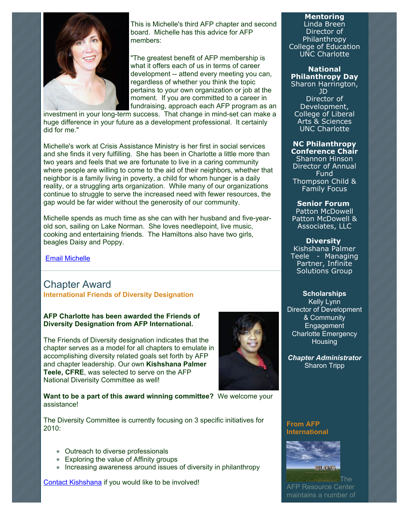

This is Michelle's third AFP chapter and second board. Michelle has this advice for AFP members:

"The greatest benefit of AFP membership is what it offers each of us in terms of career development -- attend every meeting you can, regardless of whether you think the topic pertains to your own organization or job at the moment. If you are committed to a career in fundraising, approach each AFP program as an

investment in your long-term success. That change in mind-set can make a huge difference in your future as a development professional. It certainly did for me."

Michelle's work at Crisis Assistance Ministry is her first in social services and she finds it very fulfilling. She has been in Charlotte a little more than two years and feels that we are fortunate to live in a caring community where people are willing to come to the aid of their neighbors, whether that neighbor is a family living in poverty, a child for whom hunger is a daily reality, or a struggling arts organization. While many of our organizations continue to struggle to serve the increased need with fewer resources, the gap would be far wider without the generosity of our community.

Michelle spends as much time as she can with her husband and five-yearold son, sailing on Lake Norman. She loves needlepoint, live music, cooking and entertaining friends. The Hamiltons also have two girls, beagles Daisy and Poppy.

#### [Email Michelle](mailto:mhamilton@crisisassistance.org)

## Chapter Award **International Friends of Diversity Designation**

#### **AFP Charlotte has been awarded the Friends of Diversity Designation from AFP International.**

The Friends of Diversity designation indicates that the chapter serves as a model for all chapters to emulate in accomplishing diversity related goals set forth by AFP and chapter leadership. Our own **Kishshana Palmer Teele, CFRE**, was selected to serve on the AFP National Diverisity Committee as well!



**Want to be a part of this award winning committee?** We welcome your assistance!

The Diversity Committee is currently focusing on 3 specific initiatives for 2010:

- Outreach to diverse professionals
- Exploring the value of Affinity groups
- Increasing awareness around issues of diversity in philanthropy

[Contact Kishshana](mailto:kishshana.teele@gmail.com) if you would like to be involved!

## **Mentoring**

Linda Breen Director of Philanthropy College of Education UNC Charlotte

**National Philanthropy Day** Sharon Harrington, JD Director of Development, College of Liberal Arts & Sciences

UNC Charlotte

**NC Philanthropy Conference Chair** Shannon Hinson Director of Annual Fund Thompson Child & Family Focus

#### **Senior Forum**

Patton McDowell Patton McDowell & Associates, LLC

#### **Diversity**

Kishshana Palmer Teele - Managing Partner, Infinite Solutions Group

#### **Scholarships**

Kelly Lynn Director of Development & Community Engagement Charlotte Emergency **Housing** 

*Chapter Administrator* Sharon Tripp

**From AFP International**



The AFP Resource Center maintains a number of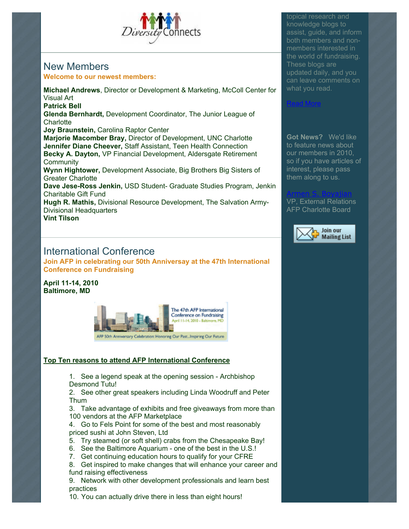

## New Members **Welcome to our newest members:**

**Michael Andrews**, Director or Development & Marketing, McColl Center for Visual Art **Patrick Bell Glenda Bernhardt,** Development Coordinator, The Junior League of **Charlotte Joy Braunstein,** Carolina Raptor Center **Marjorie Macomber Bray,** Director of Development, UNC Charlotte **Jennifer Diane Cheever,** Staff Assistant, Teen Health Connection **Becky A. Dayton,** VP Financial Development, Aldersgate Retirement **Community Wynn Hightower,** Development Associate, Big Brothers Big Sisters of Greater Charlotte **Dave Jese-Ross Jenkin,** USD Student- Graduate Studies Program, Jenkin Charitable Gift Fund **Hugh R. Mathis,** Divisional Resource Development, The Salvation Army-Divisional Headquarters

**Vint Tilson**

## International Conference

**Join AFP in celebrating our 50th Anniversay at the 47th International Conference on Fundraising**

**April 11-14, 2010 Baltimore, MD**



#### **Top Ten reasons to attend AFP International Conference**

1. See a legend speak at the opening session - Archbishop Desmond Tutu!

2. See other great speakers including Linda Woodruff and Peter Thum

3. Take advantage of exhibits and free giveaways from more than 100 vendors at the AFP Marketplace

4. Go to Fels Point for some of the best and most reasonably priced sushi at John Steven, Ltd

- 5. Try steamed (or soft shell) crabs from the Chesapeake Bay!
- 6. See the Baltimore Aquarium one of the best in the U.S.!
- 7. Get continuing education hours to qualify for your CFRE

8. Get inspired to make changes that will enhance your career and fund raising effectiveness

9. Network with other development professionals and learn best practices

10. You can actually drive there in less than eight hours!

topical research and knowledge blogs to assist, guide, and inform both members and nonmembers interested in the world of fundraising. These blogs are updated daily, and you can leave comments on what you read.

**Got News?** We'd like to feature news about our members in 2010, so if you have articles of interest, please pass them along to us.

[Read More](http://www.afpnet.org/ResourceCenter/content.cfm?ItemNumber=3092&navItemNumber=548)

#### [Armen S. Boyajian](mailto:asboyajian@charlottediocese.org)

VP, External Relations AFP Charlotte Board